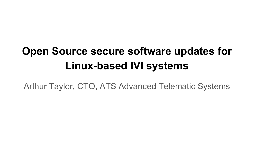# **Open Source secure software updates for Linux-based IVI systems**

Arthur Taylor, CTO, ATS Advanced Telematic Systems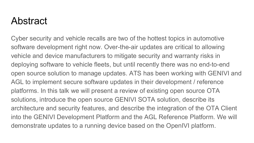#### Abstract

Cyber security and vehicle recalls are two of the hottest topics in automotive software development right now. Over-the-air updates are critical to allowing vehicle and device manufacturers to mitigate security and warranty risks in deploying software to vehicle fleets, but until recently there was no end-to-end open source solution to manage updates. ATS has been working with GENIVI and AGL to implement secure software updates in their development / reference platforms. In this talk we will present a review of existing open source OTA solutions, introduce the open source GENIVI SOTA solution, describe its architecture and security features, and describe the integration of the OTA Client into the GENIVI Development Platform and the AGL Reference Platform. We will demonstrate updates to a running device based on the OpenIVI platform.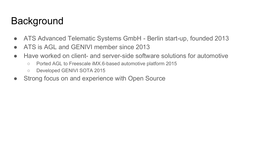## **Background**

- ATS Advanced Telematic Systems GmbH Berlin start-up, founded 2013
- ATS is AGL and GENIVI member since 2013
- Have worked on client- and server-side software solutions for automotive
	- Ported AGL to Freescale iMX.6-based automotive platform 2015
	- Developed GENIVI SOTA 2015
- Strong focus on and experience with Open Source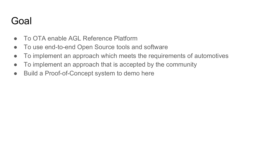#### Goal

- To OTA enable AGL Reference Platform
- To use end-to-end Open Source tools and software
- To implement an approach which meets the requirements of automotives
- To implement an approach that is accepted by the community
- Build a Proof-of-Concept system to demo here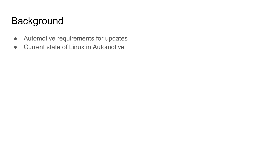## Background

- Automotive requirements for updates
- Current state of Linux in Automotive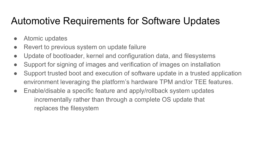## Automotive Requirements for Software Updates

- Atomic updates
- Revert to previous system on update failure
- Update of bootloader, kernel and configuration data, and filesystems
- Support for signing of images and verification of images on installation
- Support trusted boot and execution of software update in a trusted application environment leveraging the platform's hardware TPM and/or TEE features.
- Enable/disable a specific feature and apply/rollback system updates incrementally rather than through a complete OS update that replaces the filesystem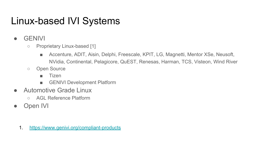# Linux-based IVI Systems

- GENIVI
	- Proprietary Linux-based [1]
		- Accenture, ADIT, Aisin, Delphi, Freescale, KPIT, LG, Magnetti, Mentor XSe, Neusoft, NVidia, Continental, Pelagicore, QuEST, Renesas, Harman, TCS, Visteon, Wind River
	- Open Source
		- Tizen
		- GENIVI Development Platform
- Automotive Grade Linux
	- AGL Reference Platform
- Open IVI

1. <https://www.genivi.org/compliant-products>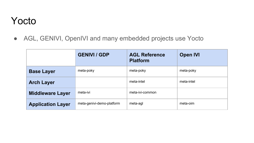#### Yocto

• AGL, GENIVI, OpenIVI and many embedded projects use Yocto

|                          | <b>GENIVI / GDP</b>       | <b>AGL Reference</b><br><b>Platform</b> | <b>Open IVI</b> |
|--------------------------|---------------------------|-----------------------------------------|-----------------|
| <b>Base Layer</b>        | meta-poky                 | meta-poky                               | meta-poky       |
| <b>Arch Layer</b>        |                           | meta-intel                              | meta-intel      |
| <b>Middleware Layer</b>  | meta-ivi                  | meta-ivi-common                         |                 |
| <b>Application Layer</b> | meta-genivi-demo-platform | meta-agl                                | meta-oim        |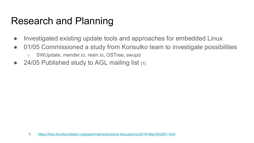#### Research and Planning

- Investigated existing update tools and approaches for embedded Linux
- 01/05 Commissioned a study from Konsulko team to investigate possibilities
	- SWUpdate, mender.io, resin.io, OSTree, swupd
- $\bullet$  24/05 Published study to AGL mailing list  $\overline{11}$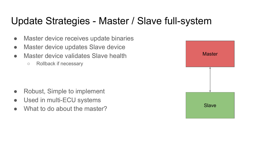## Update Strategies - Master / Slave full-system

- Master device receives update binaries
- Master device updates Slave device
- Master device validates Slave health
	- Rollback if necessary

- Robust, Simple to implement
- Used in multi-ECU systems
- What to do about the master?

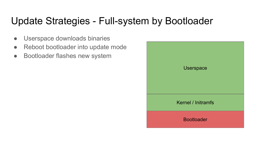## Update Strategies - Full-system by Bootloader

- Userspace downloads binaries
- Reboot bootloader into update mode
- Bootloader flashes new system

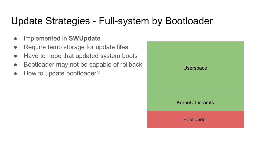## Update Strategies - Full-system by Bootloader

- Implemented in **SWUpdate**
- Require temp storage for update files
- Have to hope that updated system boots
- Bootloader may not be capable of rollback
- How to update bootloader?

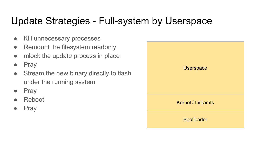## Update Strategies - Full-system by Userspace

- Kill unnecessary processes
- Remount the filesystem readonly
- mlock the update process in place
- Pray
- Stream the new binary directly to flash under the running system
- Pray
- Reboot
- **Pray**

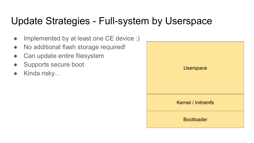#### Update Strategies - Full-system by Userspace

- Implemented by at least one CE device :)
- No additional flash storage required!
- Can update entire filesystem
- Supports secure boot
- Kinda risky...

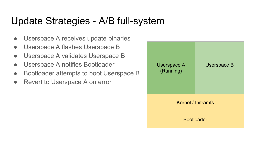## Update Strategies - A/B full-system

- Userspace A receives update binaries
- Userspace A flashes Userspace B
- Userspace A validates Userspace B
- Userspace A notifies Bootloader
- Bootloader attempts to boot Userspace B
- Revert to Userspace A on error

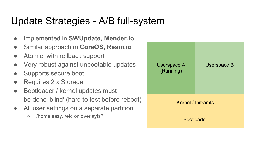## Update Strategies - A/B full-system

- Implemented in **SWUpdate, Mender.io**
- Similar approach in **CoreOS, Resin.io**
- Atomic, with rollback support
- Very robust against unbootable updates
- Supports secure boot
- Requires 2 x Storage
- Bootloader / kernel updates must be done 'blind' (hard to test before reboot)
- All user settings on a separate partition
	- /home easy. /etc on overlayfs?

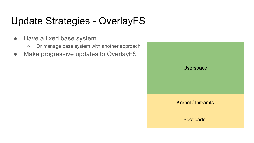# Update Strategies - OverlayFS

- Have a fixed base system
	- Or manage base system with another approach
- Make progressive updates to OverlayFS

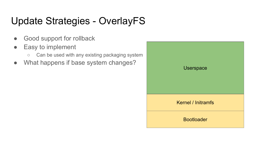# Update Strategies - OverlayFS

- Good support for rollback
- Easy to implement
	- Can be used with any existing packaging system
- What happens if base system changes?

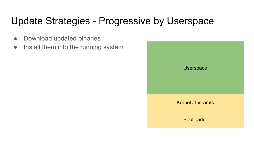## Update Strategies - Progressive by Userspace

- Download updated binaries
- Install them into the running system

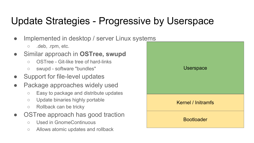# Update Strategies - Progressive by Userspace

- Implemented in desktop / server Linux systems
	- .deb, .rpm, etc.
- Similar approach in **OSTree, swupd**
	- OSTree Git-like tree of hard-links
	- swupd software "bundles"
- Support for file-level updates
- Package approaches widely used
	- Easy to package and distribute updates
	- Update binaries highly portable
	- Rollback can be tricky
- OSTree approach has good traction
	- Used in GnomeContinuous
	- Allows atomic updates and rollback

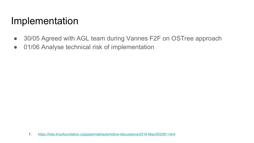#### Implementation

- 30/05 Agreed with AGL team during Vannes F2F on OSTree approach
- 01/06 Analyse technical risk of implementation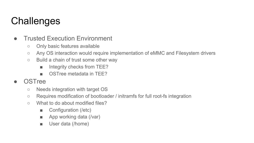# **Challenges**

- Trusted Execution Environment
	- Only basic features available
	- Any OS interaction would require implementation of eMMC and Filesystem drivers
	- Build a chain of trust some other way
		- Integrity checks from TEE?
		- OSTree metadata in TEE?
- OSTree
	- Needs integration with target OS
	- Requires modification of bootloader / initramfs for full root-fs integration
	- What to do about modified files?
		- Configuration (/etc)
		- App working data (/var)
		- User data (/home)